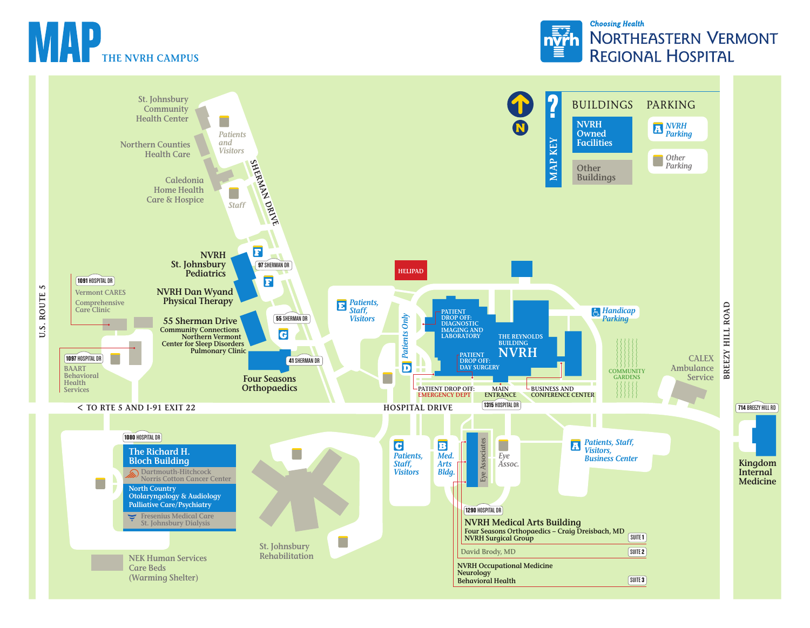